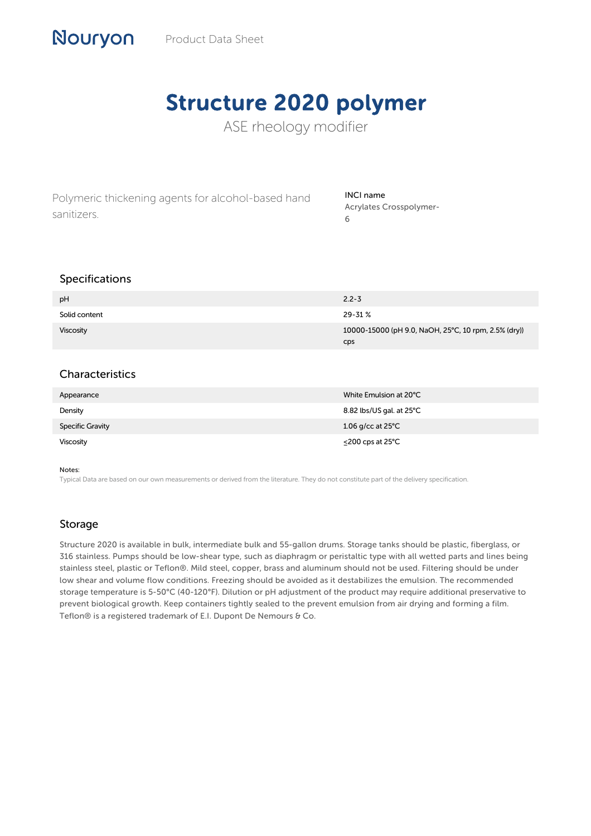# Structure 2020 polymer

ASE rheology modifier

Polymeric thickening agents for alcohol-based hand sanitizers.

### INCI name Acrylates Crosspolymer-6

## Specifications

Nouryon

| pH               | $2.2 - 3$                                                          |
|------------------|--------------------------------------------------------------------|
| Solid content    | 29-31%                                                             |
| <b>Viscosity</b> | 10000-15000 (pH 9.0, NaOH, 25°C, 10 rpm, 2.5% (dry))<br><b>CDS</b> |

# Characteristics

| Appearance              | White Emulsion at 20°C      |
|-------------------------|-----------------------------|
| Density                 | 8.82 lbs/US gal. at 25°C    |
| <b>Specific Gravity</b> | 1.06 g/cc at $25^{\circ}$ C |
| <b>Viscosity</b>        | $\leq$ 200 cps at 25°C      |

#### Notes:

Typical Data are based on our own measurements or derived from the literature. They do not constitute part of the delivery specification.

## Storage

Structure 2020 is available in bulk, intermediate bulk and 55-gallon drums. Storage tanks should be plastic, fiberglass, or 316 stainless. Pumps should be low-shear type, such as diaphragm or peristaltic type with all wetted parts and lines being stainless steel, plastic or Teflon®. Mild steel, copper, brass and aluminum should not be used. Filtering should be under low shear and volume flow conditions. Freezing should be avoided as it destabilizes the emulsion. The recommended storage temperature is 5-50°C (40-120°F). Dilution or pH adjustment of the product may require additional preservative to prevent biological growth. Keep containers tightly sealed to the prevent emulsion from air drying and forming a film. Teflon® is a registered trademark of E.I. Dupont De Nemours & Co.